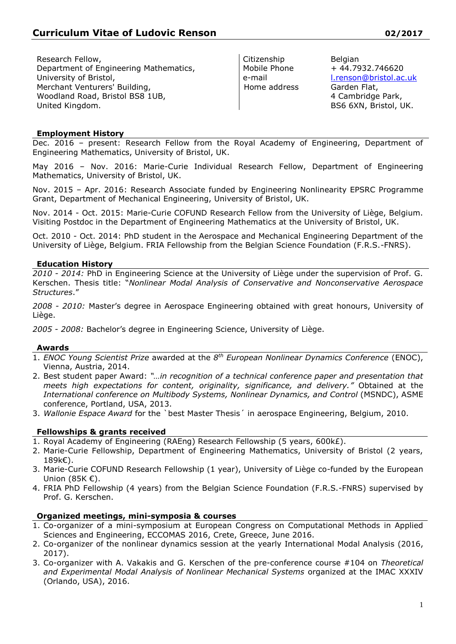Research Fellow, Department of Engineering Mathematics, University of Bristol, Merchant Venturers' Building, Woodland Road, Bristol BS8 1UB, United Kingdom.

Citizenship Mobile Phone e-mail Home address

Belgian + 44.7932.746620 [l.renson@bristol.ac.uk](mailto:l.renson@bristol.ac.uk) Garden Flat, 4 Cambridge Park, BS6 6XN, Bristol, UK.

## **Employment History**

Dec. 2016 – present: Research Fellow from the Royal Academy of Engineering, Department of Engineering Mathematics, University of Bristol, UK.

May 2016 – Nov. 2016: Marie-Curie Individual Research Fellow, Department of Engineering Mathematics, University of Bristol, UK.

Nov. 2015 – Apr. 2016: Research Associate funded by Engineering Nonlinearity EPSRC Programme Grant, Department of Mechanical Engineering, University of Bristol, UK.

Nov. 2014 - Oct. 2015: Marie-Curie COFUND Research Fellow from the University of Liège, Belgium. Visiting Postdoc in the Department of Engineering Mathematics at the University of Bristol, UK.

Oct. 2010 - Oct. 2014: PhD student in the Aerospace and Mechanical Engineering Department of the University of Liège, Belgium. FRIA Fellowship from the Belgian Science Foundation (F.R.S.-FNRS).

### **Education History**

*2010 - 2014:* PhD in Engineering Science at the University of Liège under the supervision of Prof. G. Kerschen. Thesis title: "*Nonlinear Modal Analysis of Conservative and Nonconservative Aerospace Structures*."

*2008 - 2010:* Master's degree in Aerospace Engineering obtained with great honours, University of Liège.

*2005 - 2008:* Bachelor's degree in Engineering Science, University of Liège.

#### **Awards**

- 1. *ENOC Young Scientist Prize* awarded at the *8 th European Nonlinear Dynamics Conference* (ENOC), Vienna, Austria, 2014.
- 2. Best student paper Award: *"…in recognition of a technical conference paper and presentation that meets high expectations for content, originality, significance, and delivery."* Obtained at the *International conference on Multibody Systems, Nonlinear Dynamics, and Control (MSNDC), ASME* conference, Portland, USA, 2013.
- 3. *Wallonie Espace Award* for the `best Master Thesis´ in aerospace Engineering, Belgium, 2010.

### **Fellowships & grants received**

- 1. Royal Academy of Engineering (RAEng) Research Fellowship (5 years, 600k£).
- 2. Marie-Curie Fellowship, Department of Engineering Mathematics, University of Bristol (2 years, 189k€).
- 3. Marie-Curie COFUND Research Fellowship (1 year), University of Liège co-funded by the European Union (85K €).
- 4. FRIA PhD Fellowship (4 years) from the Belgian Science Foundation (F.R.S.-FNRS) supervised by Prof. G. Kerschen.

### **Organized meetings, mini-symposia & courses**

- 1. Co-organizer of a mini-symposium at European Congress on Computational Methods in Applied Sciences and Engineering, ECCOMAS 2016, Crete, Greece, June 2016.
- 2. Co-organizer of the nonlinear dynamics session at the yearly International Modal Analysis (2016, 2017).
- 3. Co-organizer with A. Vakakis and G. Kerschen of the pre-conference course #104 on *Theoretical and Experimental Modal Analysis of Nonlinear Mechanical Systems* organized at the IMAC XXXIV (Orlando, USA), 2016.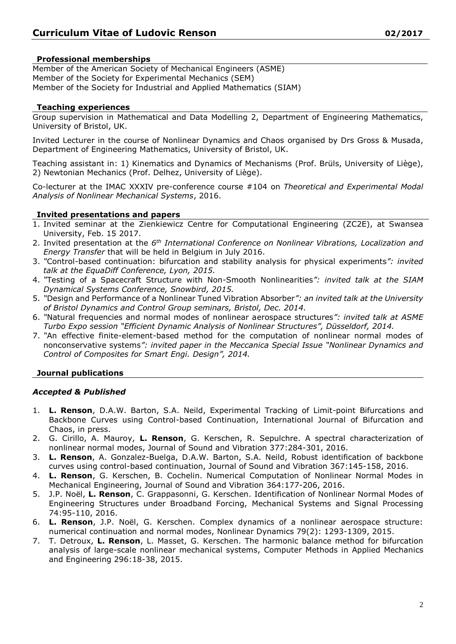# **Professional memberships**

Member of the American Society of Mechanical Engineers (ASME) Member of the Society for Experimental Mechanics (SEM) Member of the Society for Industrial and Applied Mathematics (SIAM)

### **Teaching experiences**

Group supervision in Mathematical and Data Modelling 2, Department of Engineering Mathematics, University of Bristol, UK.

Invited Lecturer in the course of Nonlinear Dynamics and Chaos organised by Drs Gross & Musada, Department of Engineering Mathematics, University of Bristol, UK.

Teaching assistant in: 1) Kinematics and Dynamics of Mechanisms (Prof. Brüls, University of Liège), 2) Newtonian Mechanics (Prof. Delhez, University of Liège).

Co-lecturer at the IMAC XXXIV pre-conference course #104 on *Theoretical and Experimental Modal Analysis of Nonlinear Mechanical Systems*, 2016.

## **Invited presentations and papers**

- 1. Invited seminar at the Zienkiewicz Centre for Computational Engineering (ZC2E), at Swansea University, Feb. 15 2017.
- 2. Invited presentation at the *6 th International Conference on Nonlinear Vibrations, Localization and Energy Transfer* that will be held in Belgium in July 2016.
- 3. *"*Control-based continuation: bifurcation and stability analysis for physical experiments*": invited talk at the EquaDiff Conference, Lyon, 2015.*
- 4. *"*[Testing of a Spacecraft Structure with Non-Smooth Nonlinearities](http://orbi.ulg.ac.be/handle/2268/176595)*": invited talk at the SIAM Dynamical Systems Conference, Snowbird, 2015.*
- 5. *"*Design and Performance of a Nonlinear Tuned Vibration Absorber*": an invited talk at the University of Bristol Dynamics and Control Group seminars, Bristol, Dec. 2014.*
- 6. *"*Natural frequencies and normal modes of nonlinear aerospace structures*": invited talk at ASME Turbo Expo session "Efficient Dynamic Analysis of Nonlinear Structures", Düsseldorf, 2014.*
- 7. *"*An effective finite-element-based method for the computation of nonlinear normal modes of nonconservative systems*": invited paper in the Meccanica Special Issue "Nonlinear Dynamics and Control of Composites for Smart Engi. Design", 2014.*

### **Journal publications**

# *Accepted & Published*

- 1. **L. Renson**, D.A.W. Barton, S.A. Neild, Experimental Tracking of Limit-point Bifurcations and Backbone Curves using Control-based Continuation, International Journal of Bifurcation and Chaos, in press.
- 2. G. Cirillo, A. Mauroy, **L. Renson**, G. Kerschen, R. Sepulchre. A spectral characterization of nonlinear normal modes, Journal of Sound and Vibration 377:284-301, 2016.
- 3. **L. Renson**, A. Gonzalez-Buelga, D.A.W. Barton, S.A. Neild, Robust identification of backbone curves using control-based continuation, Journal of Sound and Vibration 367:145-158, 2016.
- 4. **L. Renson**, G. Kerschen, B. Cochelin. Numerical Computation of Nonlinear Normal Modes in Mechanical Engineering, Journal of Sound and Vibration 364:177-206, 2016.
- 5. J.P. Noël, **L. Renson**, C. Grappasonni, G. Kerschen. Identification of Nonlinear Normal Modes of Engineering Structures under Broadband Forcing, Mechanical Systems and Signal Processing 74:95-110, 2016.
- 6. **L. Renson**, J.P. Noël, G. Kerschen. Complex dynamics of a nonlinear aerospace structure: numerical continuation and normal modes, Nonlinear Dynamics 79(2): 1293-1309, 2015.
- 7. T. Detroux, **L. Renson**, L. Masset, G. Kerschen. The harmonic balance method for bifurcation analysis of large-scale nonlinear mechanical systems, Computer Methods in Applied Mechanics and Engineering 296:18-38, 2015.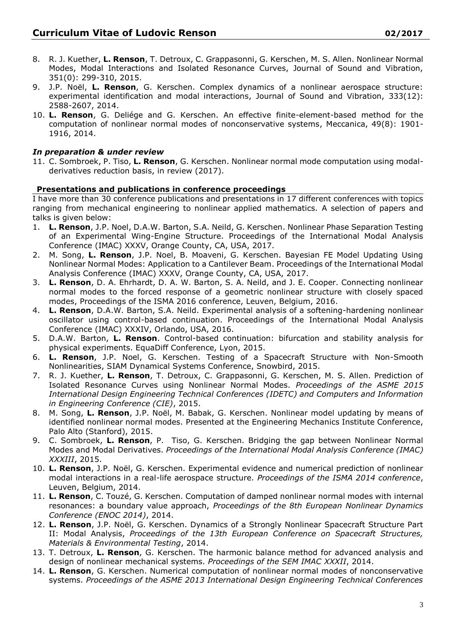- 8. R. J. Kuether, **L. Renson**, T. Detroux, C. Grappasonni, G. Kerschen, M. S. Allen. Nonlinear Normal Modes, Modal Interactions and Isolated Resonance Curves, Journal of Sound and Vibration, 351(0): 299-310, 2015.
- 9. J.P. Noël, **L. Renson**, G. Kerschen. Complex dynamics of a nonlinear aerospace structure: experimental identification and modal interactions, Journal of Sound and Vibration, 333(12): 2588-2607, 2014.
- 10. **L. Renson**, G. Deliége and G. Kerschen. An effective finite-element-based method for the computation of nonlinear normal modes of nonconservative systems, Meccanica, 49(8): 1901- 1916, 2014.

# *In preparation & under review*

11. C. Sombroek, P. Tiso, **L. Renson**, G. Kerschen. Nonlinear normal mode computation using modalderivatives reduction basis, in review (2017).

# **Presentations and publications in conference proceedings**

I have more than 30 conference publications and presentations in 17 different conferences with topics ranging from mechanical engineering to nonlinear applied mathematics. A selection of papers and talks is given below:

- 1. **L. Renson**, J.P. Noel, D.A.W. Barton, S.A. Neild, G. Kerschen. Nonlinear Phase Separation Testing of an Experimental Wing-Engine Structure. Proceedings of the International Modal Analysis Conference (IMAC) XXXV, Orange County, CA, USA, 2017.
- 2. M. Song, **L. Renson**, J.P. Noel, B. Moaveni, G. Kerschen. Bayesian FE Model Updating Using Nonlinear Normal Modes: Application to a Cantilever Beam. Proceedings of the International Modal Analysis Conference (IMAC) XXXV, Orange County, CA, USA, 2017.
- 3. **L. Renson**, D. A. Ehrhardt, D. A. W. Barton, S. A. Neild, and J. E. Cooper. Connecting nonlinear normal modes to the forced response of a geometric nonlinear structure with closely spaced modes, Proceedings of the ISMA 2016 conference, Leuven, Belgium, 2016.
- 4. **L. Renson**, D.A.W. Barton, S.A. Neild. Experimental analysis of a softening-hardening nonlinear oscillator using control-based continuation. Proceedings of the International Modal Analysis Conference (IMAC) XXXIV, Orlando, USA, 2016.
- 5. D.A.W. Barton, **L. Renson**. Control-based continuation: bifurcation and stability analysis for physical experiments. EquaDiff Conference, Lyon, 2015.
- 6. **L. Renson**, J.P. Noel, G. Kerschen. [Testing of a Spacecraft Structure with Non-Smooth](http://orbi.ulg.ac.be/handle/2268/176595)  [Nonlinearities,](http://orbi.ulg.ac.be/handle/2268/176595) SIAM Dynamical Systems Conference, Snowbird, 2015.
- 7. R. J. Kuether, **L. Renson**, T. Detroux, C. Grappasonni, G. Kerschen, M. S. Allen. Prediction of Isolated Resonance Curves using Nonlinear Normal Modes. *Proceedings of the ASME 2015 International Design Engineering Technical Conferences (IDETC) and Computers and Information in Engineering Conference (CIE)*, 2015.
- 8. M. Song, **L. Renson**, J.P. Noël, M. Babak, G. Kerschen. Nonlinear model updating by means of identified nonlinear normal modes. Presented at the Engineering Mechanics Institute Conference, Palo Alto (Stanford), 2015.
- 9. C. Sombroek, **L. Renson**, P. Tiso, G. Kerschen. Bridging the gap between Nonlinear Normal Modes and Modal Derivatives. *Proceedings of the International Modal Analysis Conference (IMAC) XXXIII*, 2015.
- 10. **L. Renson**, J.P. Noël, G. Kerschen. Experimental evidence and numerical prediction of nonlinear modal interactions in a real-life aerospace [structure.](http://orbi.ulg.ac.be/handle/2268/165311) *Proceedings of the ISMA 2014 conference*, Leuven, Belgium, 2014.
- 11. **L. Renson**, C. Touzé, G. Kerschen. Computation of damped nonlinear normal modes with internal resonances: a boundary value approach, *Proceedings of the 8th European Nonlinear Dynamics Conference (ENOC 2014)*, 2014.
- 12. **L. Renson**, J.P. Noël, G. Kerschen. Dynamics of a Strongly Nonlinear Spacecraft Structure Part II: Modal Analysis, *Proceedings of the 13th European Conference on Spacecraft Structures, Materials & Environmental Testing*, 2014.
- 13. T. Detroux, **L. Renson**, G. Kerschen. The harmonic balance method for advanced analysis and design of nonlinear mechanical systems. *Proceedings of the SEM IMAC XXXII*, 2014.
- 14. **L. Renson**, G. Kerschen. Numerical computation of nonlinear normal modes of nonconservative systems. *Proceedings of the ASME 2013 International Design Engineering Technical Conferences*